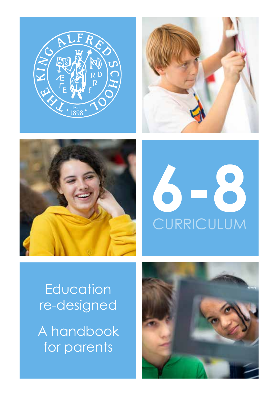







Education re-designed

A handbook for parents

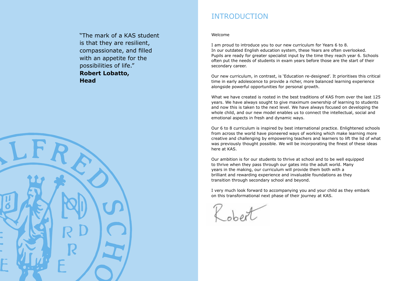"The mark of a KAS student is that they are resilient, compassionate, and filled with an appetite for the possibilities of life." **Robert Lobatto, Head** 

# INTRODUCTION

#### Welcome

I am proud to introduce you to our new curriculum for Years 6 to 8. In our outdated English education system, these Years are often overlooked. Pupils are ready for greater specialist input by the time they reach year 6. Schools often put the needs of students in exam years before those are the start of their secondary career.

Our new curriculum, in contrast, is 'Education re-designed'. It prioritises this critical time in early adolescence to provide a richer, more balanced learning experience alongside powerful opportunities for personal growth.

What we have created is rooted in the best traditions of KAS from over the last 125 years. We have always sought to give maximum ownership of learning to students and now this is taken to the next level. We have always focused on developing the whole child, and our new model enables us to connect the intellectual, social and emotional aspects in fresh and dynamic ways.

Our 6 to 8 curriculum is inspired by best international practice. Enlightened schools from across the world have pioneered ways of working which make learning more creative and challenging by empowering teachers and learners to lift the lid of what was previously thought possible. We will be incorporating the finest of these ideas here at KAS.

Our ambition is for our students to thrive at school and to be well equipped to thrive when they pass through our gates into the adult world. Many years in the making, our curriculum will provide them both with a brilliant and rewarding experience and invaluable foundations as they transition through secondary school and beyond.

I very much look forward to accompanying you and your child as they embark on this transformational next phase of their journey at KAS.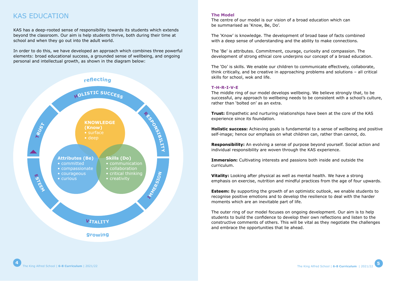# KAS EDUCATION

KAS has a deep-rooted sense of responsibility towards its students which extends beyond the classroom. Our aim is help students thrive, both during their time at school and when they go out into the adult world.

In order to do this, we have developed an approach which combines three powerful elements: broad educational success, a grounded sense of wellbeing, and ongoing personal and intellectual growth, as shown in the diagram below:



#### **The Model**

The centre of our model is our vision of a broad education which can be summarised as 'Know, Be, Do'.

The 'Know' is knowledge. The development of broad base of facts combined with a deep sense of understanding and the ability to make connections.

The 'Be' is attributes. Commitment, courage, curiosity and compassion. The development of strong ethical core underpins our concept of a broad education.

The 'Do' is skills. We enable our children to communicate effectively, collaborate, think critically, and be creative in approaching problems and solutions – all critical skills for school, wok and life.

#### **T-H-R-I-V-E**

The middle ring of our model develops wellbeing. We believe strongly that, to be successful, any approach to wellbeing needs to be consistent with a school's culture, rather than 'bolted on' as an extra.

**Trust:** Empathetic and nurturing relationships have been at the core of the KAS experience since its foundation.

**Holistic success:** Achieving goals is fundamental to a sense of wellbeing and positive self-image; hence our emphasis on what children can, rather than cannot, do.

**Responsibility:** An evolving a sense of purpose beyond yourself. Social action and individual responsibility are woven through the KAS experience.

**Immersion:** Cultivating interests and passions both inside and outside the curriculum.

**Vitality:** Looking after physical as well as mental health. We have a strong emphasis on exercise, nutrition and mindful practices from the age of four upwards.

**Esteem:** By supporting the growth of an optimistic outlook, we enable students to recognise positive emotions and to develop the resilience to deal with the harder moments which are an inevitable part of life.

The outer ring of our model focuses on ongoing development. Our aim is to help students to build the confidence to develop their own reflections and listen to the constructive comments of others. This will be vital as they negotiate the challenges and embrace the opportunities that lie ahead.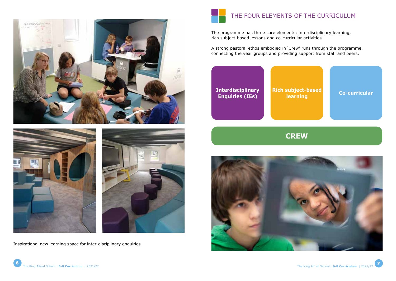





Inspirational new learning space for inter-disciplinary enquiries



The programme has three core elements: interdisciplinary learning, rich subject-based lessons and co-curricular activities.

A strong pastoral ethos embodied in 'Crew' runs through the programme, connecting the year groups and providing support from staff and peers.



**CREW**

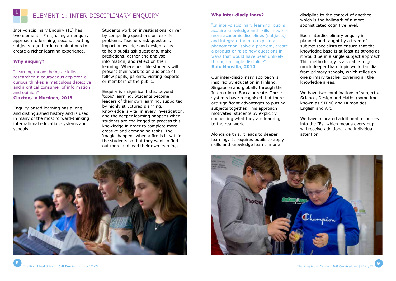

# ELEMENT 1: INTER-DISCIPLINARY ENOUIRY **11 and 11 and 11 and 12 and 13 and 14 and 14 and 14 and 14 and 14 and 14 and 14 and 14 and 14 and 14 and 14 and 14 and 14 and 14 and 14 and 14 and 14 and 14 and 14 and 14 and 14 and 1**

Inter-disciplinary Enquiry (IE) has two elements. First, using an enquiry approach to learning; second, putting subjects together in combinations to create a richer learning experience.

#### **Why enquiry?**

"Learning means being a skilled researcher, a courageous explorer, a curious thinker, a meticulous detective, and a critical consumer of information and opinion". **Claxton, in Murdoch, 2015** 

Enquiry-based learning has a long and distinguished history and is used in many of the most forward-thinking international education systems and schools.

Students work on investigations, driven by compelling questions or real-life problems. Teachers ask questions, impart knowledge and design tasks to help pupils ask questions, make predictions, gather and analyse information, and reflect on their learning. Where possible students will present their work to an audience of fellow pupils, parents, visiting 'experts' or members of the public.

Enquiry is a significant step beyond 'topic' learning. Students become leaders of their own learning, supported by highly structured planning. Knowledge is vital in every investigation, and the deeper learning happens when students are challenged to process this knowledge in order to complete more creative and demanding tasks. The 'magic' happens when a fire is lit within the students so that they want to find out more and lead their own learning.

"In inter-disciplinary learning, pupils acquire knowledge and skills in two or more academic disciplines (subjects) and integrate them to explain a phenomenon, solve a problem, create a product or raise new questions in ways that would have been unlikely through a single discipline" **Boix Mansilla, 2010** 

Our inter-disciplinary approach is inspired by education in Finland, Singapore and globally through the International Baccalaureate. These systems have recognised that there are significant advantages to putting subjects together. This approach motivates students by explicitly connecting what they are learning to the real world.

Alongside this, it leads to deeper learning. It requires pupils to apply skills and knowledge learnt in one

discipline to the context of another, which is the hallmark of a more sophisticated cognitive level.

Each interdisciplinary enquiry is planned and taught by a team of subject specialists to ensure that the knowledge base is at least as strong as it would be in a single subject approach. This methodology is also able to go much deeper than 'topic work' familiar from primary schools, which relies on one primary teacher covering all the knowledge areas.

We have two combinations of subjects. Science, Design and Maths (sometimes known as STEM) and Humanities, English and Art.

We have allocated additional resources into the IEs, which means every pupil will receive additional and individual attention.



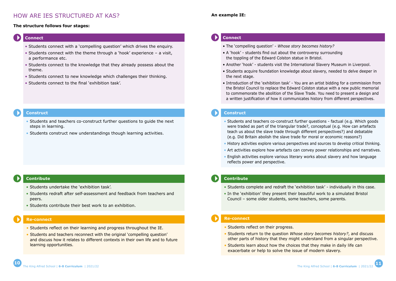### HOW ARE IES STRUCTURED AT KAS?

#### **An example IE:**

#### **The structure follows four stages:**

#### **Connect**

- Students connect with a 'compelling question' which drives the enquiry.
- Students connect with the theme through a 'hook' experience a visit, a performance etc.
- Students connect to the knowledge that they already possess about the theme.
- Students connect to new knowledge which challenges their thinking.
- Students connect to the final 'exhibition task'.

#### **Construct**

- Students and teachers co-construct further questions to guide the next steps in learning.
- Students construct new understandings though learning activities.

#### **Contribute**

- Students undertake the 'exhibition task'.
- Students redraft after self-assessment and feedback from teachers and peers.
- Students contribute their best work to an exhibition.

#### **Re-connect**

- Students reflect on their learning and progress throughout the IE.
- Students and teachers reconnect with the original 'compelling question' and discuss how it relates to different contexts in their own life and to future learning opportunities.

### **Connect**

- The 'compelling question' *Whose story becomes history?*
- A 'hook' students find out about the controversy surrounding the toppling of the Edward Colston statue in Bristol.
- Another 'hook' students visit the International Slavery Museum in Liverpool.
- Students acquire foundation knowledge about slavery, needed to delve deeper in the next stage.
- Introduction of the 'exhibition task' You are an artist bidding for a commission from the Bristol Council to replace the Edward Colston statue with a new public memorial to commemorate the abolition of the Slave Trade. You need to present a design and a written justification of how it communicates history from different perspectives.

#### **Construct**

- Students and teachers co-construct further questions factual (e.g. Which goods were traded as part of the triangular trade?, conceptual (e.g. How can artefacts teach us about the slave trade through different perspectives?) and debatable (e.g. Did Britain abolish the slave trade for moral or economic reasons?)
- History activities explore various perspectives and sources to develop critical thinking.
- Art activities explore how artefacts can convey power relationships and narratives.
- English activities explore various literary works about slavery and how language reflects power and perspective.

#### **Contribute**

- Students complete and redraft the 'exhibition task' individually in this case.
- In the 'exhibition' they present their beautiful work to a simulated Bristol Council – some older students, some teachers, some parents.

#### **Re-connect**

- Students reflect on their progress.
- Students return to the question *Whose story becomes history?*, and discuss other parts of history that they might understand from a singular perspective.
- Students learn about how the choices that they make in daily life can exacerbate or help to solve the issue of modern slavery.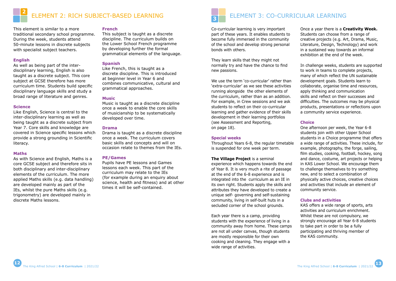

This element is similar to a more traditional secondary school programme. During the week, students attend 50-minute lessons in discrete subjects with specialist subject teachers.

#### **English**

As well as being part of the interdisciplinary learning, English is also taught as a discrete subject. This core subject at GCSE therefore has more curriculum time. Students build specific disciplinary language skills and study a broad range of literature and genres.

#### **Science**

Like English, Science is central to the inter-disciplinary learning as well as being taught as a discrete subject from Year 7. Core skills and knowledge are covered in Science specific lessons which provide a strong grounding in Scientific literacy.

#### **Maths**

As with Science and English, Maths is a core GCSE subject and therefore sits in both disciplinary and inter-disciplinary elements of the curriculum. The more applied Maths skills (e.g. data handling) are developed mainly as part of the IEs, whilst the pure Maths skills (e.g. trigonometry) are developed mainly in discrete Maths lessons.

#### **French**

This subject is taught as a discrete discipline. The curriculum builds on the Lower School French programme by developing further the formal grammatical elements of the language.

#### **Spanish**

Like French, this is taught as a discrete discipline. This is introduced at beginner level in Year 6 and combines communicative, cultural and grammatical approaches.

#### **Music**

Music is taught as a discrete discipline once a week to enable the core skills of musicianship to be systematically developed over time.

#### **Drama**

Drama is taught as a discrete discipline once a week. The curriculum covers basic skills and concepts and will on occasion relate to themes from the IEs.

#### **PE/Games**

Pupils have PE lessons and Games lessons each week. This part of the curriculum may relate to the IEs (for example during an enquiry about science, health and fitness) and at other times it will be self-contained.

**3**

Co-curricular learning is very important part of these years. It enables students to become fully immersed in the community of the school and develop strong personal bonds with others.

They learn skills that they might not normally try and have the chance to find new passions.

We use the term 'co-curricular' rather than 'extra-curricular' as we see these activities running alongside the other elements of the curriculum, rather than as an addition. For example, in Crew sessions and we ask students to reflect on their co-curricular learning and gather evidence of their skills development in their learning portfolios (see Assessment and Reporting, on page 18).

#### **Special weeks**

Throughout Years 6-8, the regular timetable is suspended for one week per term.

#### **The Village Project** is a seminal

experience which happens towards the end of Year 8. It is very much a rite of passage at the end of the 6-8 experience and is integrated into the curriculum as an IE in its own right. Students apply the skills and attributes they have developed to create a unique self- governing and self-sustaining community, living in self-built huts in a secluded corner of the school grounds.

Each year there is a camp, providing students with the experience of living in a community away from home. These camps are not all under canvas, though students are mostly responsible for their own cooking and cleaning. They engage with a wide range of activities.

Once a year there is a **Creativity Week.** Students can choose from a range of creative projects (e.g. Art, Drama, Music, Literature, Design, Technology) and work in a sustained way towards an informal exhibition at the end of the week.

In challenge weeks, students are supported to work in teams to complete projects, many of which reflect the UN sustainable development goals. Students learn to collaborate, organise time and resources, apply thinking and communication skills and reflect on their successes and difficulties. The outcomes may be physical products, presentations or reflections upon a community service experience.

#### **Choice**

One afternoon per week, the Year 6-8 students join with other Upper School students in a Choice programme that offers a wide range of activities. These include, for example, photography, the forge, sailing, film studies, cooking, football, hockey, song and dance, costume, art projects or helping in KAS Lower School. We encourage them to challenge themselves to try something new, and to select a combination of physically active choices, creative choices and activities that include an element of community service.

#### **Clubs and activities**

KAS offers a wide range of sports, arts activities and curriculum enrichment. Whilst these are not compulsory, we strongly encourage all Year 6-8 students to take part in order to be a fully participating and thriving member of the KAS community.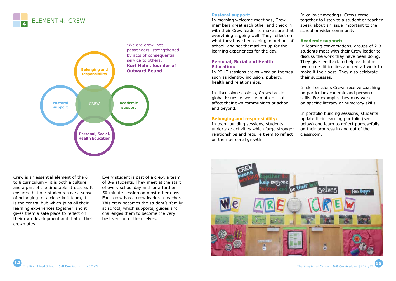



Crew is an essential element of the 6 to 8 curriculum - it is both a culture and a part of the timetable structure. It ensures that our students have a sense of belonging to a close-knit team, it is the central hub which joins all their learning experiences together, and it gives them a safe place to reflect on their own development and that of their crewmates.

Every student is part of a crew, a team of 8-9 students. They meet at the start of every school day and for a further 50-minute session on most other days. Each crew has a crew leader, a teacher. This crew becomes the student's 'family' at school, which supports, guides and challenges them to become the very best version of themselves.

#### **Pastoral support:**

In morning welcome meetings, Crew members greet each other and check in with their Crew leader to make sure that everything is going well. They reflect on what they have been doing in and out of school, and set themselves up for the learning experiences for the day.

#### **Personal, Social and Health Education:**

In PSHE sessions crews work on themes such as identity, inclusion, puberty, health and relationships.

In discussion sessions, Crews tackle global issues as well as matters that affect their own communities at school and beyond.

#### **Belonging and responsibility:**

In team-building sessions, students undertake activities which forge stronger relationships and require them to reflect on their personal growth.

In callover meetings, Crews come together to listen to a student or teacher speak about an issue important to the school or wider community.

#### **Academic support:**

In learning conversations, groups of 2-3 students meet with their Crew leader to discuss the work they have been doing. They give feedback to help each other overcome difficulties and redraft work to make it their best. They also celebrate their successes.

In skill sessions Crews receive coaching on particular academic and personal skills. For example, they may work on specific literacy or numeracy skills.

In portfolio building sessions, students update their learning portfolio (see below) and learn to reflect purposefully on their progress in and out of the classroom.

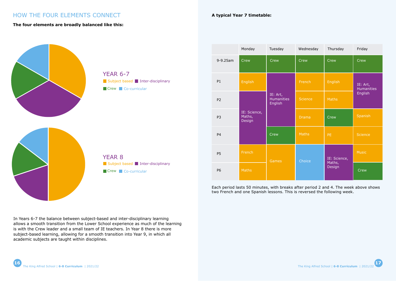### HOW THE FOUR ELEMENTS CONNECT **A typical Year 7 timetable:**

#### **The four elements are broadly balanced like this:**



|                | Monday                           | Tuesday                                  | Wednesday      | Thursday                         | Friday                                   |
|----------------|----------------------------------|------------------------------------------|----------------|----------------------------------|------------------------------------------|
| 9-9.25am       | Crew                             | Crew                                     | Crew           | Crew                             | Crew                                     |
| P <sub>1</sub> | <b>English</b>                   | IE: Art,<br><b>Humanities</b><br>English | French         | English                          | IE: Art,<br><b>Humanities</b><br>English |
| P <sub>2</sub> | IE: Science,<br>Maths,<br>Design |                                          | <b>Science</b> | <b>Maths</b>                     |                                          |
| P <sub>3</sub> |                                  |                                          | <b>Drama</b>   | Crew                             | Spanish                                  |
| P <sub>4</sub> |                                  | Crew                                     | <b>Maths</b>   | <b>PE</b>                        | <b>Science</b>                           |
| P <sub>5</sub> | French<br><b>Maths</b>           | Games                                    | Choice         | IE: Science,<br>Maths,<br>Design | <b>Music</b>                             |
| <b>P6</b>      |                                  |                                          |                |                                  | Crew                                     |

Each period lasts 50 minutes, with breaks after period 2 and 4. The week above shows two French and one Spanish lessons. This is reversed the following week.

In Years 6-7 the balance between subject-based and inter-disciplinary learning allows a smooth transition from the Lower School experience as much of the learning is with the Crew leader and a small team of IE teachers. In Year 8 there is more subject-based learning, allowing for a smooth transition into Year 9, in which all academic subjects are taught within disciplines.

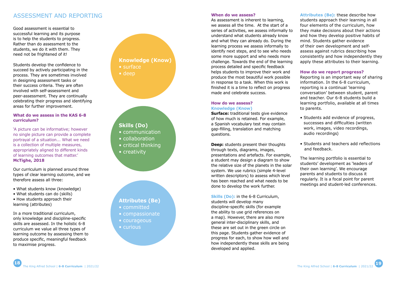## ASSESSMENT AND REPORTING

Good assessment is essential to successful learning and its purpose is to help the students to progress. Rather than do assessment to the students, we do it with them. They need not be frightened of it!

Students develop the confidence to succeed by actively participating in the process. They are sometimes involved in designing assessment tasks or their success criteria. They are often involved with self-assessment and peer-assessment. They are continually celebrating their progress and identifying areas for further improvement.

#### **What do we assess in the KAS 6-8 curriculum?**

'A picture can be informative; however no single picture can provide a complete portrayal of a situation... What we need is a collection of multiple measures, appropriately aligned to different kinds of learning outcomes that matter.' **McTighe, 2018**

Our curriculum is planned around three types of clear learning outcome, and we therefore assess all three:

- What students know (knowledge)
- What students can do (skills)
- How students approach their learning (attributes)

In a more traditional curriculum, only knowledge and discipline-specific skills are assessed. In the holistic 6-8 curriculum we value all three types of learning outcome by assessing them to produce specific, meaningful feedback to maximise progress.

# **Knowledge (Know)** • surface • deep

# **Skills (Do)**

- communication
- collaboration
- critical thinking
- creativity

# **Attributes (Be)**

- committed
- compassionate
- courageous
- curious

#### **When do we assess?**

As assessment is inherent to learning, we assess all the time. At the start of a series of activities, we assess informally to understand what students already know and what they can already do. During the learning process we assess informally to identify next steps, and to see who needs some more support and who needs more challenge. Towards the end of the learning process detailed and specific feedback helps students to improve their work and produce the most beautiful work possible in response to a task. When this work is finished it is a time to reflect on progress made and celebrate success.

#### **How do we assess? Knowledge (Know)**

**Surface:** traditional tests give evidence of how much is retained. For example, a Spanish vocabulary test may contain gap-filling, translation and matching questions.

**Deep:** students present their thoughts through texts, diagrams, images, presentations and artefacts. For example, a student may design a diagram to show the relative size of the planets in the solar system. We use rubrics (simple 4-level written descriptors) to assess which level has been reached and what needs to be done to develop the work further.

**Skills (Do):** in the 6-8 Curriculum, students will develop many discipline-specific skills (for example the ability to use grid references on a map). However, there are also more general inter-disciplinary skills, and these are set out in the green circle on this page. Students gather evidence of progress for each, to show how well and how independently these skills are being developed and applied.

**Attributes (Be):** these describe how students approach their learning in all four elements of the curriculum, how they make decisions about their actions and how they develop positive habits of mind. Students gather evidence of their own development and selfassess against rubrics describing how consistently and how independently they apply these attributes to their learning.

#### **How do we report progress?**

Reporting is an important way of sharing information. In the 6-8 curriculum, reporting is a continual 'learning conversation' between student, parent and teacher. Our 6-8 students build a learning portfolio, available at all times to parents.

- Students add evidence of progress, successes and difficulties (written work, images, video recordings, audio recordings)
- Students and teachers add reflections and feedback.

The learning portfolio is essential to students' development as 'leaders of their own learning'. We encourage parents and students to discuss it regularly. It is a focal point for parent meetings and student-led conferences.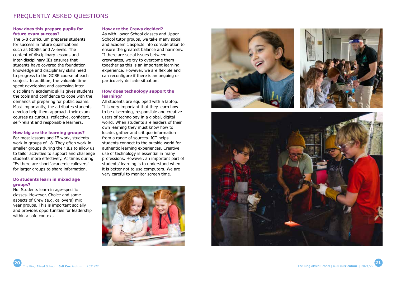# FREQUENTLY ASKED QUESTIONS

#### **How does this prepare pupils for future exam success?**

The 6-8 curriculum prepares students for success in future qualifications such as GCSEs and A-levels. The content of disciplinary lessons and inter-disciplinary IEs ensures that students have covered the foundation knowledge and disciplinary skills need to progress to the GCSE course of each subject. In addition, the valuable time spent developing and assessing interdisciplinary academic skills gives students the tools and confidence to cope with the demands of preparing for public exams. Most importantly, the attributes students develop help them approach their exam courses as curious, reflective, confident, self-reliant and responsible learners.

#### **How big are the learning groups?**

For most lessons and IE work, students work in groups of 18. They often work in smaller groups during their IEs to allow us to tailor activities to support and challenge students more effectively. At times during IEs there are short 'academic callovers' for larger groups to share information.

#### **Do students learn in mixed age groups?**

No. Students learn in age-specific classes. However, Choice and some aspects of Crew (e.g. callovers) mix year groups. This is important socially and provides opportunities for leadership within a safe context.

#### **How are the Crews decided?**

As with Lower School classes and Upper School tutor groups, we take many social and academic aspects into consideration to ensure the greatest balance and harmony. If there are social issues between crewmates, we try to overcome them together as this is an important learning experience. However, we are flexible and can reconfigure if there is an ongoing or particularly delicate situation.

#### **How does technology support the learning?**

All students are equipped with a laptop. It is very important that they learn how to be discerning, responsible and creative users of technology in a global, digital world. When students are leaders of their own learning they must know how to locate, gather and critique information from a range of sources. ICT helps students connect to the outside world for authentic learning experiences. Creative use of technology is essential in many professions. However, an important part of students' learning is to understand when it is better not to use computers. We are very careful to monitor screen time.





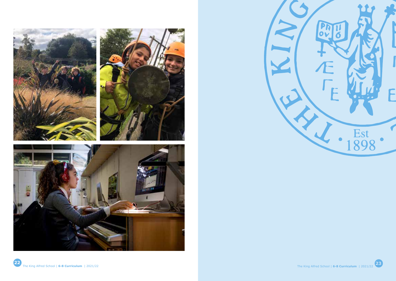